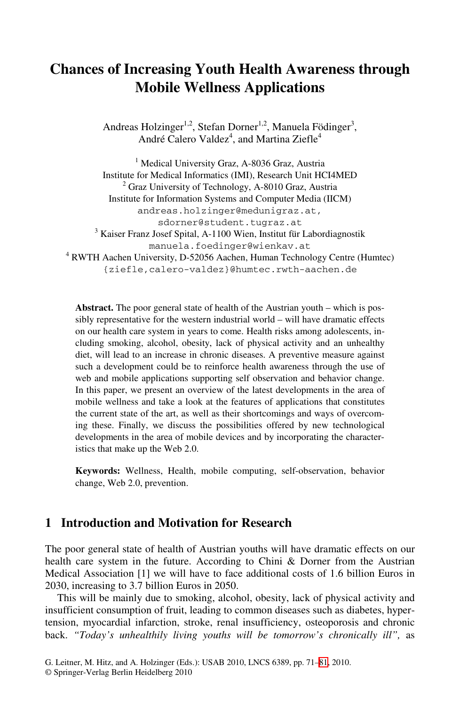# **Chances of Increasing Youth Health Awareness through Mobile Wellness Applications**

Andreas Holzinger<sup>1,2</sup>, Stefan Dorner<sup>1,2</sup>, Manuela Födinger<sup>3</sup>, André Calero Valdez<sup>4</sup>, and Martina Ziefle<sup>4</sup>

<sup>1</sup> Medical University Graz, A-8036 Graz, Austria Institute for Medical Informatics (IMI), Research Unit HCI4MED 2  $2$  Graz University of Technology, A-8010 Graz, Austria Institute for Information Systems and Computer Media (IICM) andreas.holzinger@medunigraz.at, sdorner@student.tugraz.at <sup>3</sup> Kaiser Franz Josef Spital, A-1100 Wien, Institut für Labordiagnostik manuela.foedinger@wienkav.at 4 RWTH Aachen University, D-52056 Aachen, Human Technology Centre (Humtec) {ziefle,calero-valdez}@humtec.rwth-aachen.de

**Abstract.** The poor general state of health of the Austrian youth – which is possibly representative for the western industrial world – will have dramatic effects on our health care system in years to come. Health risks among adolescents, including smoking, alcohol, obesity, lack of physical activity and an unhealthy diet, will lead to an increase in chronic diseases. A preventive measure against such a development could be to reinforce health awareness through the use of web and mobile applications supporting self observation and behavior change. In this paper, we present an overview of the latest developments in the area of mobile wellness and take a look at the features of applications that constitutes the current state of the art, as well as their shortcomings and ways of overcoming these. Finally, we discuss the possibilities offered by new technological developments in the area of mobile devices and by incorporating the characteristics that make up the Web 2.0.

**Keywords:** Wellness, Health, mobile computing, self-observation, behavior change, Web 2.0, prevention.

### **1 Introduction and Motivation for Research**

The poor general state of health of Austrian youths will have dramatic effects on our health care system in the future. Accordi[ng](#page-10-0) to Chini & Dorner from the Austrian Medical Association [1] we will have to face additional costs of 1.6 billion Euros in 2030, increasing to 3.7 billion Euros in 2050.

This will be mainly due to smoking, alcohol, obesity, lack of physical activity and insufficient consumption of fruit, leading to common diseases such as diabetes, hypertension, myocardial infarction, stroke, renal insufficiency, osteoporosis and chronic back. *"Today's unhealthily living youths will be tomorrow's chronically ill",* as

G. Leitner, M. Hitz, and A. Holzinger (Eds.): USAB 2010, LNCS 6389, pp. 71–81, 2010.

<sup>©</sup> Springer-Verlag Berlin Heidelberg 2010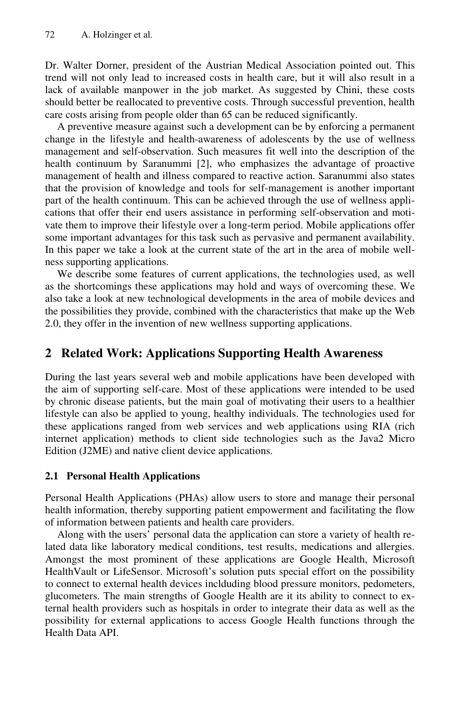Dr. Walter Dorner, president of the Austrian Medical Association pointed out. This trend will not only lead to increased costs in health care, but it will also result in a lack of available manpower in the job market. As suggested by Chini, these costs should better be reallocated to preventive costs. Through successful prevention, health care costs arising from people older than 65 can be reduced significantly.

A preventive measure against such a development can be by enforcing a permanent change in the lifestyle and health-awareness of adolescents by the use of wellness management and self-observation. Such measures fit well into the description of the health continuum by Saranummi [2], who emphasizes the advantage of proactive management of health and illness compared to reactive action. Saranummi also states that the provision of knowledge and tools for self-management is another important part of the health continuum. This can be achieved through the use of wellness applications that offer their end users assistance in performing self-observation and motivate them to improve their lifestyle over a long-term period. Mobile applications offer some important advantages for this task such as pervasive and permanent availability. In this paper we take a look at the current state of the art in the area of mobile wellness supporting applications.

We describe some features of current applications, the technologies used, as well as the shortcomings these applications may hold and ways of overcoming these. We also take a look at new technological developments in the area of mobile devices and the possibilities they provide, combined with the characteristics that make up the Web 2.0, they offer in the invention of new wellness supporting applications.

# **2 Related Work: Applications Supporting Health Awareness**

During the last years several web and mobile applications have been developed with the aim of supporting self-care. Most of these applications were intended to be used by chronic disease patients, but the main goal of motivating their users to a healthier lifestyle can also be applied to young, healthy individuals. The technologies used for these applications ranged from web services and web applications using RIA (rich internet application) methods to client side technologies such as the Java2 Micro Edition (J2ME) and native client device applications.

### **2.1 Personal Health Applications**

Personal Health Applications (PHAs) allow users to store and manage their personal health information, thereby supporting patient empowerment and facilitating the flow of information between patients and health care providers.

Along with the users' personal data the application can store a variety of health related data like laboratory medical conditions, test results, medications and allergies. Amongst the most prominent of these applications are Google Health, Microsoft HealthVault or LifeSensor. Microsoft's solution puts special effort on the possibility to connect to external health devices inclduding blood pressure monitors, pedometers, glucometers. The main strengths of Google Health are it its ability to connect to external health providers such as hospitals in order to integrate their data as well as the possibility for external applications to access Google Health functions through the Health Data API.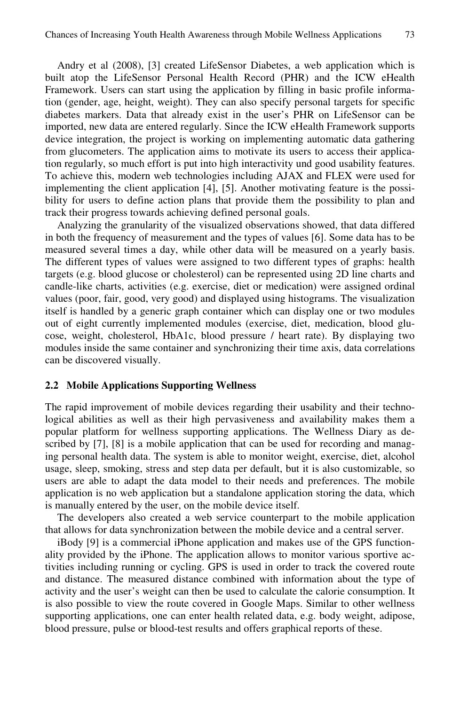Andry et al (2008), [3] created LifeSensor Diabetes, a web application which is built atop the LifeSensor Personal Health Record (PHR) and the ICW eHealth Framework. Users can start using the application by filling in basic profile information (gender, age, height, weight). They can also specify personal targets for specific diabetes markers. Data that already exist in the user's PHR on LifeSensor can be imported, new data are entered regularly. Since the ICW eHealth Framework supports device integration, the project is working on implementing automatic data gathering from glucometers. The application aims to motivate its users to access their application regularly, so much effort is put into high interactivity und good usability features. To achieve this, modern web technologies including AJAX and FLEX were used for implementing the client application [4], [5]. Another motivating feature is the possibility for users to define action plans that provide them the possibility to plan and track their progress towards achieving defined personal goals.

Analyzing the granularity of the visualized observations showed, that data differed in both the frequency of measurement and the types of values [6]. Some data has to be measured several times a day, while other data will be measured on a yearly basis. The different types of values were assigned to two different types of graphs: health targets (e.g. blood glucose or cholesterol) can be represented using 2D line charts and candle-like charts, activities (e.g. exercise, diet or medication) were assigned ordinal values (poor, fair, good, very good) and displayed using histograms. The visualization itself is handled by a generic graph container which can display one or two modules out of eight currently implemented modules (exercise, diet, medication, blood glucose, weight, cholesterol, HbA1c, blood pressure / heart rate). By displaying two modules inside the same container and synchronizing their time axis, data correlations can be discovered visually.

#### **2.2 Mobile Applications Supporting Wellness**

The rapid improvement of mobile devices regarding their usability and their technological abilities as well as their high pervasiveness and availability makes them a popular platform for wellness supporting applications. The Wellness Diary as described by [7], [8] is a mobile application that can be used for recording and managing personal health data. The system is able to monitor weight, exercise, diet, alcohol usage, sleep, smoking, stress and step data per default, but it is also customizable, so users are able to adapt the data model to their needs and preferences. The mobile application is no web application but a standalone application storing the data, which is manually entered by the user, on the mobile device itself.

The developers also created a web service counterpart to the mobile application that allows for data synchronization between the mobile device and a central server.

iBody [9] is a commercial iPhone application and makes use of the GPS functionality provided by the iPhone. The application allows to monitor various sportive activities including running or cycling. GPS is used in order to track the covered route and distance. The measured distance combined with information about the type of activity and the user's weight can then be used to calculate the calorie consumption. It is also possible to view the route covered in Google Maps. Similar to other wellness supporting applications, one can enter health related data, e.g. body weight, adipose, blood pressure, pulse or blood-test results and offers graphical reports of these.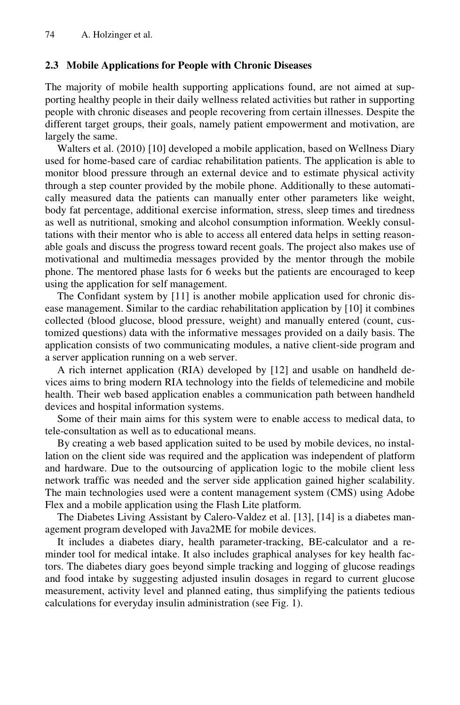#### **2.3 Mobile Applications for People with Chronic Diseases**

The majority of mobile health supporting applications found, are not aimed at supporting healthy people in their daily wellness related activities but rather in supporting people with chronic diseases and people recovering from certain illnesses. Despite the different target groups, their goals, namely patient empowerment and motivation, are largely the same.

Walters et al. (2010) [10] developed a mobile application, based on Wellness Diary used for home-based care of cardiac rehabilitation patients. The application is able to monitor blood pressure through an external device and to estimate physical activity through a step counter provided by the mobile phone. Additionally to these automatically measured data the patients can manually enter other parameters like weight, body fat percentage, additional exercise information, stress, sleep times and tiredness as well as nutritional, smoking and alcohol consumption information. Weekly consultations with their mentor who is able to access all entered data helps in setting reasonable goals and discuss the progress toward recent goals. The project also makes use of motivational and multimedia messages provided by the mentor through the mobile phone. The mentored phase lasts for 6 weeks but the patients are encouraged to keep using the application for self management.

The Confidant system by [11] is another mobile application used for chronic disease management. Similar to the cardiac rehabilitation application by [10] it combines collected (blood glucose, blood pressure, weight) and manually entered (count, customized questions) data with the informative messages provided on a daily basis. The application consists of two communicating modules, a native client-side program and a server application running on a web server.

A rich internet application (RIA) developed by [12] and usable on handheld devices aims to bring modern RIA technology into the fields of telemedicine and mobile health. Their web based application enables a communication path between handheld devices and hospital information systems.

Some of their main aims for this system were to enable access to medical data, to tele-consultation as well as to educational means.

By creating a web based application suited to be used by mobile devices, no installation on the client side was required and the application was independent of platform and hardware. Due to the outsourcing of application logic to the mobile client less network traffic was needed and the server side application gained higher scalability. The main technologies used were a content management system (CMS) using Adobe Flex and a mobile application using the Flash Lite platform.

The Diabetes Living Assistant by Calero-Valdez et al. [13], [14] is a diabetes management program developed with Java2ME for mobile devices.

It includes a diabetes diary, health parameter-tracking, BE-calculator and a reminder tool for medical intake. It also includes graphical analyses for key health factors. The diabetes diary goes beyond simple tracking and logging of glucose readings and food intake by suggesting adjusted insulin dosages in regard to current glucose measurement, activity level and planned eating, thus simplifying the patients tedious calculations for everyday insulin administration (see Fig. 1).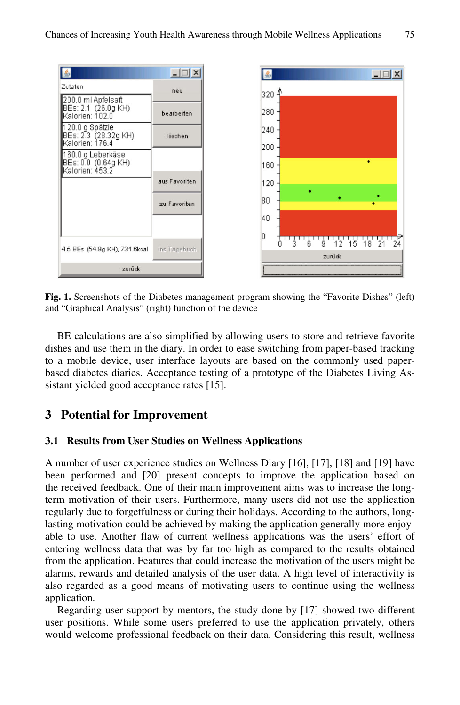

**Fig. 1.** Screenshots of the Diabetes management program showing the "Favorite Dishes" (left) and "Graphical Analysis" (right) function of the device

BE-calculations are also simplified by allowing users to store and retrieve favorite dishes and use them in the diary. In order to ease switching from paper-based tracking to a mobile device, user interface layouts are based on the commonly used paperbased diabetes diaries. Acceptance testing of a prototype of the Diabetes Living Assistant yielded good acceptance rates [15].

## **3 Potential for Improvement**

#### **3.1 Results from User Studies on Wellness Applications**

A number of user experience studies on Wellness Diary [16], [17], [18] and [19] have been performed and [20] present concepts to improve the application based on the received feedback. One of their main improvement aims was to increase the longterm motivation of their users. Furthermore, many users did not use the application regularly due to forgetfulness or during their holidays. According to the authors, longlasting motivation could be achieved by making the application generally more enjoyable to use. Another flaw of current wellness applications was the users' effort of entering wellness data that was by far too high as compared to the results obtained from the application. Features that could increase the motivation of the users might be alarms, rewards and detailed analysis of the user data. A high level of interactivity is also regarded as a good means of motivating users to continue using the wellness application.

Regarding user support by mentors, the study done by [17] showed two different user positions. While some users preferred to use the application privately, others would welcome professional feedback on their data. Considering this result, wellness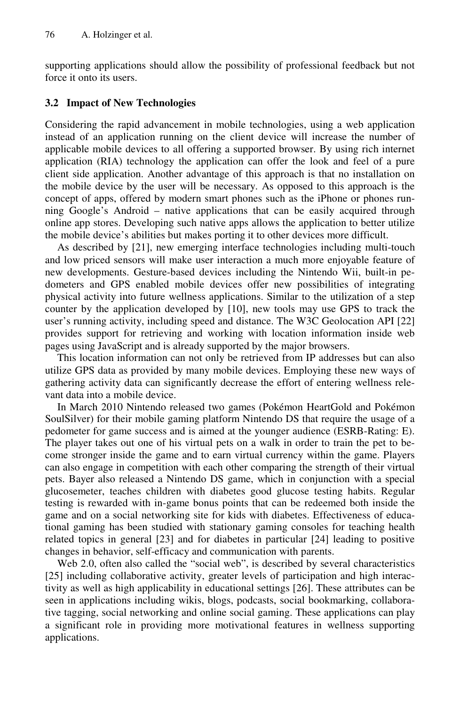supporting applications should allow the possibility of professional feedback but not force it onto its users.

### **3.2 Impact of New Technologies**

Considering the rapid advancement in mobile technologies, using a web application instead of an application running on the client device will increase the number of applicable mobile devices to all offering a supported browser. By using rich internet application (RIA) technology the application can offer the look and feel of a pure client side application. Another advantage of this approach is that no installation on the mobile device by the user will be necessary. As opposed to this approach is the concept of apps, offered by modern smart phones such as the iPhone or phones running Google's Android – native applications that can be easily acquired through online app stores. Developing such native apps allows the application to better utilize the mobile device's abilities but makes porting it to other devices more difficult.

As described by [21], new emerging interface technologies including multi-touch and low priced sensors will make user interaction a much more enjoyable feature of new developments. Gesture-based devices including the Nintendo Wii, built-in pedometers and GPS enabled mobile devices offer new possibilities of integrating physical activity into future wellness applications. Similar to the utilization of a step counter by the application developed by [10], new tools may use GPS to track the user's running activity, including speed and distance. The W3C Geolocation API [22] provides support for retrieving and working with location information inside web pages using JavaScript and is already supported by the major browsers.

This location information can not only be retrieved from IP addresses but can also utilize GPS data as provided by many mobile devices. Employing these new ways of gathering activity data can significantly decrease the effort of entering wellness relevant data into a mobile device.

In March 2010 Nintendo released two games (Pokémon HeartGold and Pokémon SoulSilver) for their mobile gaming platform Nintendo DS that require the usage of a pedometer for game success and is aimed at the younger audience (ESRB-Rating: E). The player takes out one of his virtual pets on a walk in order to train the pet to become stronger inside the game and to earn virtual currency within the game. Players can also engage in competition with each other comparing the strength of their virtual pets. Bayer also released a Nintendo DS game, which in conjunction with a special glucosemeter, teaches children with diabetes good glucose testing habits. Regular testing is rewarded with in-game bonus points that can be redeemed both inside the game and on a social networking site for kids with diabetes. Effectiveness of educational gaming has been studied with stationary gaming consoles for teaching health related topics in general [23] and for diabetes in particular [24] leading to positive changes in behavior, self-efficacy and communication with parents.

Web 2.0, often also called the "social web", is described by several characteristics [25] including collaborative activity, greater levels of participation and high interactivity as well as high applicability in educational settings [26]. These attributes can be seen in applications including wikis, blogs, podcasts, social bookmarking, collaborative tagging, social networking and online social gaming. These applications can play a significant role in providing more motivational features in wellness supporting applications.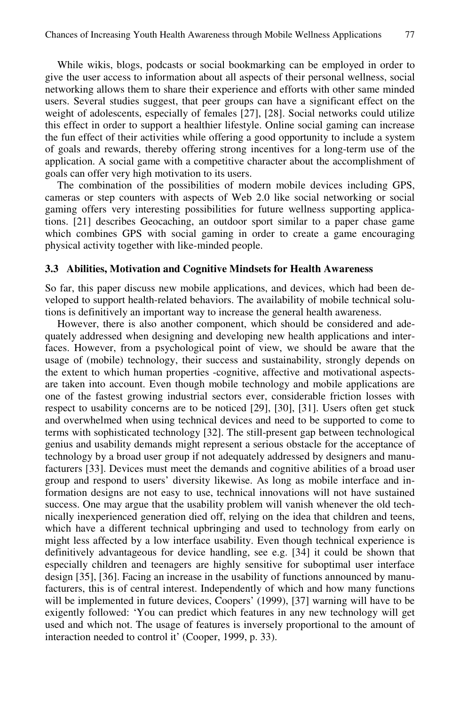While wikis, blogs, podcasts or social bookmarking can be employed in order to give the user access to information about all aspects of their personal wellness, social networking allows them to share their experience and efforts with other same minded users. Several studies suggest, that peer groups can have a significant effect on the weight of adolescents, especially of females [27], [28]. Social networks could utilize this effect in order to support a healthier lifestyle. Online social gaming can increase the fun effect of their activities while offering a good opportunity to include a system of goals and rewards, thereby offering strong incentives for a long-term use of the application. A social game with a competitive character about the accomplishment of goals can offer very high motivation to its users.

The combination of the possibilities of modern mobile devices including GPS, cameras or step counters with aspects of Web 2.0 like social networking or social gaming offers very interesting possibilities for future wellness supporting applications. [21] describes Geocaching, an outdoor sport similar to a paper chase game which combines GPS with social gaming in order to create a game encouraging physical activity together with like-minded people.

#### **3.3 Abilities, Motivation and Cognitive Mindsets for Health Awareness**

So far, this paper discuss new mobile applications, and devices, which had been developed to support health-related behaviors. The availability of mobile technical solutions is definitively an important way to increase the general health awareness.

However, there is also another component, which should be considered and adequately addressed when designing and developing new health applications and interfaces. However, from a psychological point of view, we should be aware that the usage of (mobile) technology, their success and sustainability, strongly depends on the extent to which human properties -cognitive, affective and motivational aspectsare taken into account. Even though mobile technology and mobile applications are one of the fastest growing industrial sectors ever, considerable friction losses with respect to usability concerns are to be noticed [29], [30], [31]. Users often get stuck and overwhelmed when using technical devices and need to be supported to come to terms with sophisticated technology [32]. The still-present gap between technological genius and usability demands might represent a serious obstacle for the acceptance of technology by a broad user group if not adequately addressed by designers and manufacturers [33]. Devices must meet the demands and cognitive abilities of a broad user group and respond to users' diversity likewise. As long as mobile interface and information designs are not easy to use, technical innovations will not have sustained success. One may argue that the usability problem will vanish whenever the old technically inexperienced generation died off, relying on the idea that children and teens, which have a different technical upbringing and used to technology from early on might less affected by a low interface usability. Even though technical experience is definitively advantageous for device handling, see e.g. [34] it could be shown that especially children and teenagers are highly sensitive for suboptimal user interface design [35], [36]. Facing an increase in the usability of functions announced by manufacturers, this is of central interest. Independently of which and how many functions will be implemented in future devices, Coopers' (1999), [37] warning will have to be exigently followed: 'You can predict which features in any new technology will get used and which not. The usage of features is inversely proportional to the amount of interaction needed to control it' (Cooper, 1999, p. 33).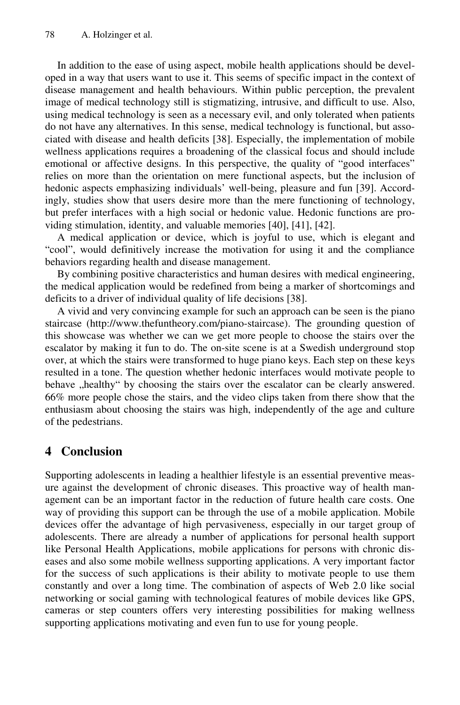In addition to the ease of using aspect, mobile health applications should be developed in a way that users want to use it. This seems of specific impact in the context of disease management and health behaviours. Within public perception, the prevalent image of medical technology still is stigmatizing, intrusive, and difficult to use. Also, using medical technology is seen as a necessary evil, and only tolerated when patients do not have any alternatives. In this sense, medical technology is functional, but associated with disease and health deficits [38]. Especially, the implementation of mobile wellness applications requires a broadening of the classical focus and should include emotional or affective designs. In this perspective, the quality of "good interfaces" relies on more than the orientation on mere functional aspects, but the inclusion of hedonic aspects emphasizing individuals' well-being, pleasure and fun [39]. Accordingly, studies show that users desire more than the mere functioning of technology, but prefer interfaces with a high social or hedonic value. Hedonic functions are providing stimulation, identity, and valuable memories [40], [41], [42].

A medical application or device, which is joyful to use, which is elegant and "cool", would definitively increase the motivation for using it and the compliance behaviors regarding health and disease management.

By combining positive characteristics and human desires with medical engineering, the medical application would be redefined from being a marker of shortcomings and deficits to a driver of individual quality of life decisions [38].

A vivid and very convincing example for such an approach can be seen is the piano staircase (http://www.thefuntheory.com/piano-staircase). The grounding question of this showcase was whether we can we get more people to choose the stairs over the escalator by making it fun to do. The on-site scene is at a Swedish underground stop over, at which the stairs were transformed to huge piano keys. Each step on these keys resulted in a tone. The question whether hedonic interfaces would motivate people to behave "healthy" by choosing the stairs over the escalator can be clearly answered. 66% more people chose the stairs, and the video clips taken from there show that the enthusiasm about choosing the stairs was high, independently of the age and culture of the pedestrians.

## **4 Conclusion**

Supporting adolescents in leading a healthier lifestyle is an essential preventive measure against the development of chronic diseases. This proactive way of health management can be an important factor in the reduction of future health care costs. One way of providing this support can be through the use of a mobile application. Mobile devices offer the advantage of high pervasiveness, especially in our target group of adolescents. There are already a number of applications for personal health support like Personal Health Applications, mobile applications for persons with chronic diseases and also some mobile wellness supporting applications. A very important factor for the success of such applications is their ability to motivate people to use them constantly and over a long time. The combination of aspects of Web 2.0 like social networking or social gaming with technological features of mobile devices like GPS, cameras or step counters offers very interesting possibilities for making wellness supporting applications motivating and even fun to use for young people.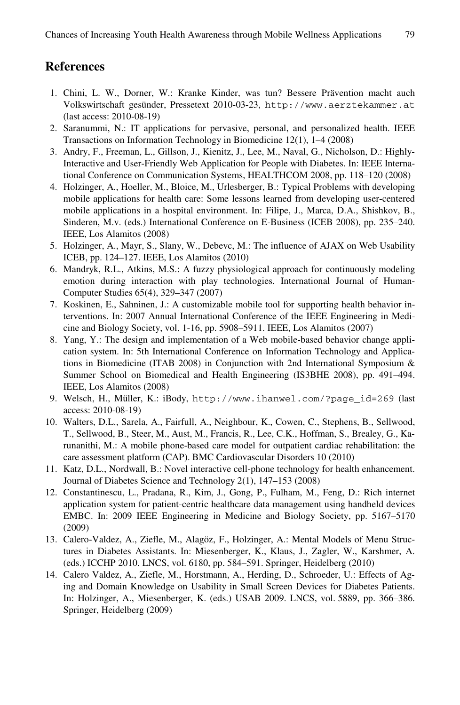# **References**

- 1. Chini, L. W., Dorner, W.: Kranke Kinder, was tun? Bessere Prävention macht auch Volkswirtschaft gesünder, Pressetext 2010-03-23, http://www.aerztekammer.at (last access: 2010-08-19)
- 2. Saranummi, N.: IT applications for pervasive, personal, and personalized health. IEEE Transactions on Information Technology in Biomedicine 12(1), 1–4 (2008)
- 3. Andry, F., Freeman, L., Gillson, J., Kienitz, J., Lee, M., Naval, G., Nicholson, D.: Highly-Interactive and User-Friendly Web Application for People with Diabetes. In: IEEE International Conference on Communication Systems, HEALTHCOM 2008, pp. 118–120 (2008)
- 4. Holzinger, A., Hoeller, M., Bloice, M., Urlesberger, B.: Typical Problems with developing mobile applications for health care: Some lessons learned from developing user-centered mobile applications in a hospital environment. In: Filipe, J., Marca, D.A., Shishkov, B., Sinderen, M.v. (eds.) International Conference on E-Business (ICEB 2008), pp. 235–240. IEEE, Los Alamitos (2008)
- 5. Holzinger, A., Mayr, S., Slany, W., Debevc, M.: The influence of AJAX on Web Usability ICEB, pp. 124–127. IEEE, Los Alamitos (2010)
- 6. Mandryk, R.L., Atkins, M.S.: A fuzzy physiological approach for continuously modeling emotion during interaction with play technologies. International Journal of Human-Computer Studies 65(4), 329–347 (2007)
- 7. Koskinen, E., Sahninen, J.: A customizable mobile tool for supporting health behavior interventions. In: 2007 Annual International Conference of the IEEE Engineering in Medicine and Biology Society, vol. 1-16, pp. 5908–5911. IEEE, Los Alamitos (2007)
- 8. Yang, Y.: The design and implementation of a Web mobile-based behavior change application system. In: 5th International Conference on Information Technology and Applications in Biomedicine (ITAB 2008) in Conjunction with 2nd International Symposium & Summer School on Biomedical and Health Engineering (IS3BHE 2008), pp. 491–494. IEEE, Los Alamitos (2008)
- 9. Welsch, H., Müller, K.: iBody, http://www.ihanwel.com/?page\_id=269 (last access: 2010-08-19)
- 10. Walters, D.L., Sarela, A., Fairfull, A., Neighbour, K., Cowen, C., Stephens, B., Sellwood, T., Sellwood, B., Steer, M., Aust, M., Francis, R., Lee, C.K., Hoffman, S., Brealey, G., Karunanithi, M.: A mobile phone-based care model for outpatient cardiac rehabilitation: the care assessment platform (CAP). BMC Cardiovascular Disorders 10 (2010)
- 11. Katz, D.L., Nordwall, B.: Novel interactive cell-phone technology for health enhancement. Journal of Diabetes Science and Technology 2(1), 147–153 (2008)
- 12. Constantinescu, L., Pradana, R., Kim, J., Gong, P., Fulham, M., Feng, D.: Rich internet application system for patient-centric healthcare data management using handheld devices EMBC. In: 2009 IEEE Engineering in Medicine and Biology Society, pp. 5167–5170 (2009)
- 13. Calero-Valdez, A., Ziefle, M., Alagöz, F., Holzinger, A.: Mental Models of Menu Structures in Diabetes Assistants. In: Miesenberger, K., Klaus, J., Zagler, W., Karshmer, A. (eds.) ICCHP 2010. LNCS, vol. 6180, pp. 584–591. Springer, Heidelberg (2010)
- 14. Calero Valdez, A., Ziefle, M., Horstmann, A., Herding, D., Schroeder, U.: Effects of Aging and Domain Knowledge on Usability in Small Screen Devices for Diabetes Patients. In: Holzinger, A., Miesenberger, K. (eds.) USAB 2009. LNCS, vol. 5889, pp. 366–386. Springer, Heidelberg (2009)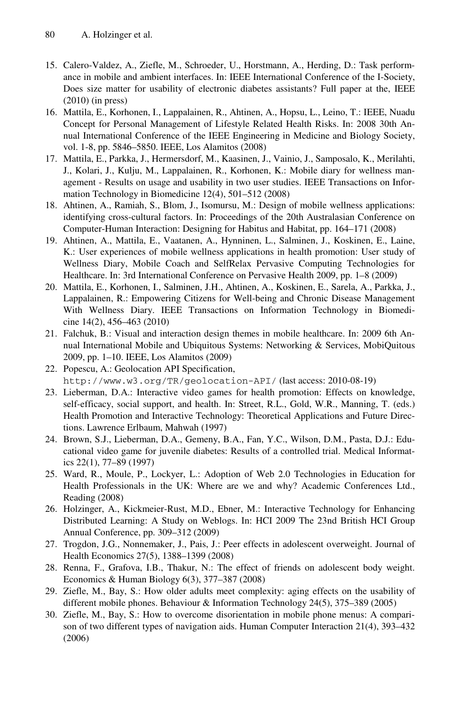- 15. Calero-Valdez, A., Ziefle, M., Schroeder, U., Horstmann, A., Herding, D.: Task performance in mobile and ambient interfaces. In: IEEE International Conference of the I-Society, Does size matter for usability of electronic diabetes assistants? Full paper at the, IEEE (2010) (in press)
- 16. Mattila, E., Korhonen, I., Lappalainen, R., Ahtinen, A., Hopsu, L., Leino, T.: IEEE, Nuadu Concept for Personal Management of Lifestyle Related Health Risks. In: 2008 30th Annual International Conference of the IEEE Engineering in Medicine and Biology Society, vol. 1-8, pp. 5846–5850. IEEE, Los Alamitos (2008)
- 17. Mattila, E., Parkka, J., Hermersdorf, M., Kaasinen, J., Vainio, J., Samposalo, K., Merilahti, J., Kolari, J., Kulju, M., Lappalainen, R., Korhonen, K.: Mobile diary for wellness management - Results on usage and usability in two user studies. IEEE Transactions on Information Technology in Biomedicine 12(4), 501–512 (2008)
- 18. Ahtinen, A., Ramiah, S., Blom, J., Isomursu, M.: Design of mobile wellness applications: identifying cross-cultural factors. In: Proceedings of the 20th Australasian Conference on Computer-Human Interaction: Designing for Habitus and Habitat, pp. 164–171 (2008)
- 19. Ahtinen, A., Mattila, E., Vaatanen, A., Hynninen, L., Salminen, J., Koskinen, E., Laine, K.: User experiences of mobile wellness applications in health promotion: User study of Wellness Diary, Mobile Coach and SelfRelax Pervasive Computing Technologies for Healthcare. In: 3rd International Conference on Pervasive Health 2009, pp. 1–8 (2009)
- 20. Mattila, E., Korhonen, I., Salminen, J.H., Ahtinen, A., Koskinen, E., Sarela, A., Parkka, J., Lappalainen, R.: Empowering Citizens for Well-being and Chronic Disease Management With Wellness Diary. IEEE Transactions on Information Technology in Biomedicine 14(2), 456–463 (2010)
- 21. Falchuk, B.: Visual and interaction design themes in mobile healthcare. In: 2009 6th Annual International Mobile and Ubiquitous Systems: Networking & Services, MobiQuitous 2009, pp. 1–10. IEEE, Los Alamitos (2009)
- 22. Popescu, A.: Geolocation API Specification, http://www.w3.org/TR/geolocation-API/ (last access: 2010-08-19)
- 23. Lieberman, D.A.: Interactive video games for health promotion: Effects on knowledge, self-efficacy, social support, and health. In: Street, R.L., Gold, W.R., Manning, T. (eds.) Health Promotion and Interactive Technology: Theoretical Applications and Future Directions. Lawrence Erlbaum, Mahwah (1997)
- 24. Brown, S.J., Lieberman, D.A., Gemeny, B.A., Fan, Y.C., Wilson, D.M., Pasta, D.J.: Educational video game for juvenile diabetes: Results of a controlled trial. Medical Informatics 22(1), 77–89 (1997)
- 25. Ward, R., Moule, P., Lockyer, L.: Adoption of Web 2.0 Technologies in Education for Health Professionals in the UK: Where are we and why? Academic Conferences Ltd., Reading (2008)
- 26. Holzinger, A., Kickmeier-Rust, M.D., Ebner, M.: Interactive Technology for Enhancing Distributed Learning: A Study on Weblogs. In: HCI 2009 The 23nd British HCI Group Annual Conference, pp. 309–312 (2009)
- 27. Trogdon, J.G., Nonnemaker, J., Pais, J.: Peer effects in adolescent overweight. Journal of Health Economics 27(5), 1388–1399 (2008)
- 28. Renna, F., Grafova, I.B., Thakur, N.: The effect of friends on adolescent body weight. Economics & Human Biology 6(3), 377–387 (2008)
- 29. Ziefle, M., Bay, S.: How older adults meet complexity: aging effects on the usability of different mobile phones. Behaviour & Information Technology 24(5), 375–389 (2005)
- 30. Ziefle, M., Bay, S.: How to overcome disorientation in mobile phone menus: A comparison of two different types of navigation aids. Human Computer Interaction 21(4), 393–432 (2006)